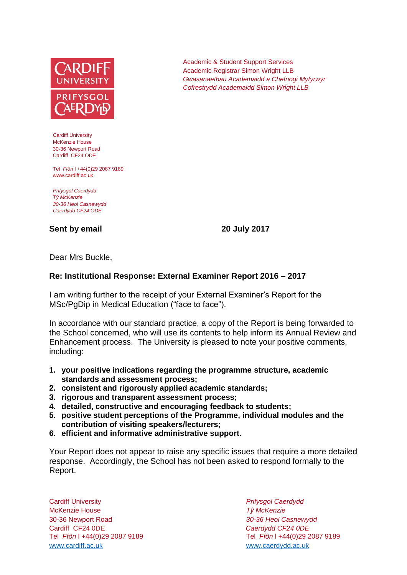

Cardiff University McKenzie House 30-36 Newport Road Cardiff CF24 ODE

Tel *Ffôn* l +44(0)29 2087 9189 www.cardiff.ac.uk

*Prifysgol Caerdydd Tŷ McKenzie 30-36 Heol Casnewydd Caerdydd CF24 ODE*

## **Sent by email 20 July 2017**

Academic & Student Support Services Academic Registrar Simon Wright LLB *Gwasanaethau Academaidd a Chefnogi Myfyrwyr Cofrestrydd Academaidd Simon Wright LLB*

Dear Mrs Buckle,

## **Re: Institutional Response: External Examiner Report 2016 – 2017**

I am writing further to the receipt of your External Examiner's Report for the MSc/PgDip in Medical Education ("face to face").

In accordance with our standard practice, a copy of the Report is being forwarded to the School concerned, who will use its contents to help inform its Annual Review and Enhancement process. The University is pleased to note your positive comments, including:

- **1. your positive indications regarding the programme structure, academic standards and assessment process;**
- **2. consistent and rigorously applied academic standards;**
- **3. rigorous and transparent assessment process;**
- **4. detailed, constructive and encouraging feedback to students;**
- **5. positive student perceptions of the Programme, individual modules and the contribution of visiting speakers/lecturers;**
- **6. efficient and informative administrative support.**

Your Report does not appear to raise any specific issues that require a more detailed response. Accordingly, the School has not been asked to respond formally to the Report.

Cardiff University *Prifysgol Caerdydd* McKenzie House *Tŷ McKenzie* 30-36 Newport Road *30-36 Heol Casnewydd* Cardiff CF24 0DE *Caerdydd CF24 0DE* [www.cardiff.ac.uk](http://www.cardiff.ac.uk/) www.cardiff.ac.uk

Tel *Ffôn* l +44(0)29 2087 9189 Tel *Ffôn* l +44(0)29 2087 9189